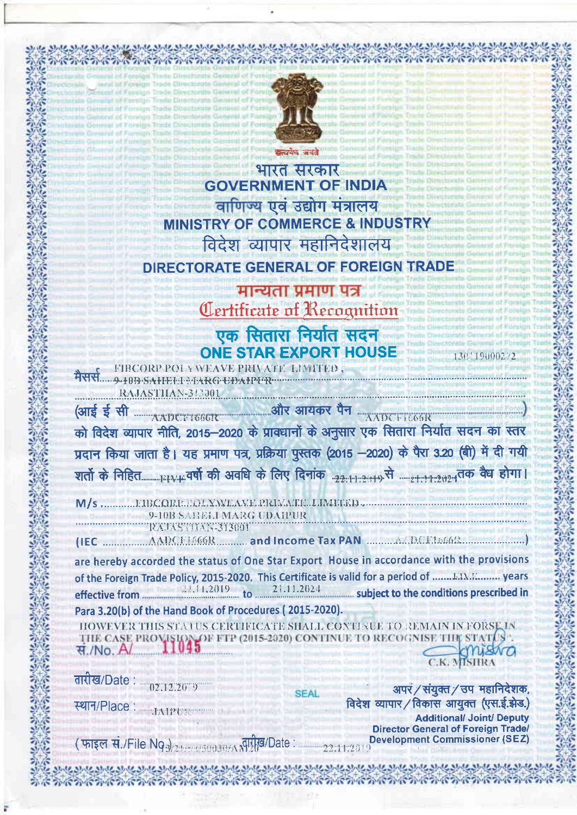

にかいかいかいかいかいかいかいかいかい

भारत सरकार **GOVERNMENT OF INDIA** वाणिज्य एवं उद्योग मंत्रालय **MINISTRY OF COMMERCE & INDUSTRY** विदेश व्यापार महानिदेशालय **DIRECTORATE GENERAL OF FOREIGN TRADE** 

# मान्यता प्रमाण पत्र Certificate of Recognition

एक सितारा निर्यात सदन **ONE STAR EXPORT HOUSE** FIBCORP POLY WEAVE PRIVATE LIMITED,

ARY ..... 9-10B SAHELL MARG UDAIPUR RAJASTHAN-313001

को विदेश व्यापार नीति, 2015–2020 के प्रावधानों के अनुसार एक सितारा निर्यात सदन का स्तर प्रदान किया जाता है। यह प्रमाण पत्र, प्रक्रिया पुस्तक (2015 -2020) के पैरा 3.20 (बी) में दी गयी 

M/s ............. FIBCORP. POLYNYEAVE PRIVATE LIMITED 9-10B SABELI MARG UDAIPUR

ETTEXTASTIVANISISED

are hereby accorded the status of One Star Export House in accordance with the provisions of the Foreign Trade Policy, 2015-2020. This Certificate is valid for a period of ....... EIME......... years 21.11.2024 subject to the conditions prescribed in effective from

Para 3.20(b) of the Hand Book of Procedures (2015-2020).

HOWEVER THIS STATUS CERTIFICATE SHALL CONTEUL TO REMAIN IN FORSE IN THE CASE PRO H FTP (2015-2020) CONTINUE TO RECOG स./No. A

तारीख/Date: (12112-2013)

**THAIPURE** 

स्थान/Place:

*<u> ବିଦ୍ୟାଳୟରେ ବିଦ୍ୟାଳୟରେ ବିଦ୍ୟାଳୟରେ ବିଦ୍ୟାଳୟରେ ବିଦ୍ୟାଳୟରେ ବିଦ୍ୟାଳୟରେ ବିଦ୍ୟାଳୟରେ ବିଦ୍ୟାଳୟରେ ବିଦ୍ୟାଳୟରେ ବିଦ୍ୟାଳୟରେ ବିଦ୍ୟାଳୟରେ ବିଦ୍ୟାଳୟରେ ବିଦ୍ୟାଳୟରେ ବିଦ୍ୟାଳୟରେ ବିଦ୍ୟାଳୟରେ ବିଦ୍ୟାଳୟରେ ବିଦ୍ୟାଳୟରେ ବିଦ୍ୟାଳୟରେ ବିଦ୍ୟାଳୟରେ ବିଦ୍ୟାଳୟର*</u>

अपरं / संयुक्त / उप महानिदेशक, विदेश व्यापार / विकास आयुक्त (एस.ई.झेड.) **Additional/ Joint/ Deputy Director General of Foreign Trade/ Development Commissioner (SEZ)** 

130119000272

(फाइल सं./File Nga)  $\frac{1}{2\frac{1}{2}$  (see 8/1)  $\frac{1}{2}$  (see 8/1)  $\frac{1}{2}$  (see 8/1)  $\frac{1}{2}$